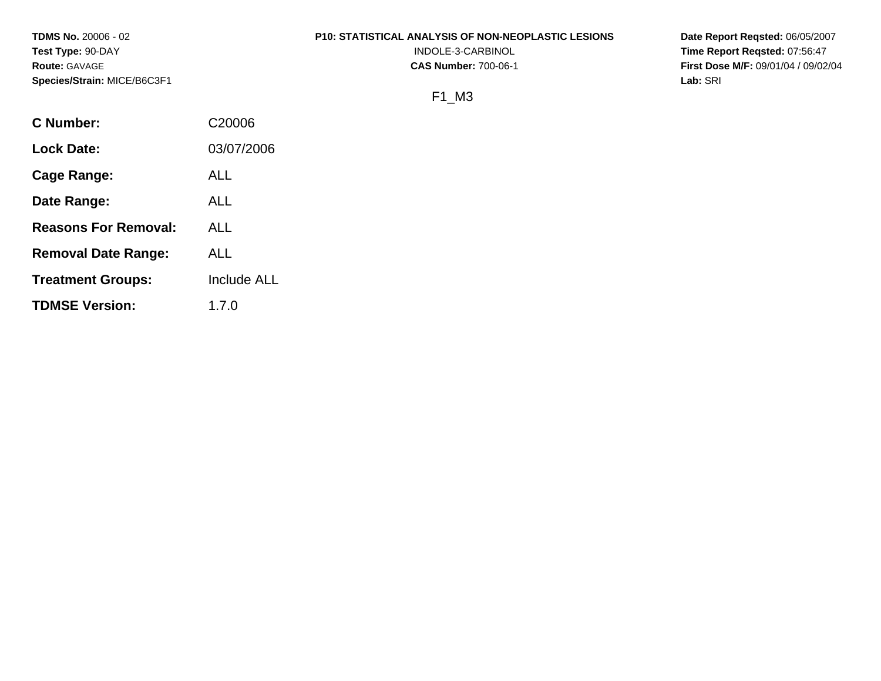**TDMS No.** 20006 - 02 **Test Type:** 90-DAY **Route:** GAVAGE **Species/Strain:** MICE/B6C3F1

#### **P10: STATISTICAL ANALYSIS OF NON-NEOPLASTIC LESIONS**

INDOLE-3-CARBINOL **CAS Number:** 700-06-1

**Date Report Reqsted:** 06/05/2007 **Time Report Reqsted:** 07:56:47 **First Dose M/F:** 09/01/04 / 09/02/04 **Lab:** SRI

# F1\_M3

| C Number:                   | C <sub>20006</sub> |
|-----------------------------|--------------------|
| <b>Lock Date:</b>           | 03/07/2006         |
| Cage Range:                 | ALL                |
| Date Range:                 | ALL                |
| <b>Reasons For Removal:</b> | ALL                |
| <b>Removal Date Range:</b>  | ALL                |
| <b>Treatment Groups:</b>    | <b>Include ALL</b> |
| <b>TDMSE Version:</b>       | 1.7.0              |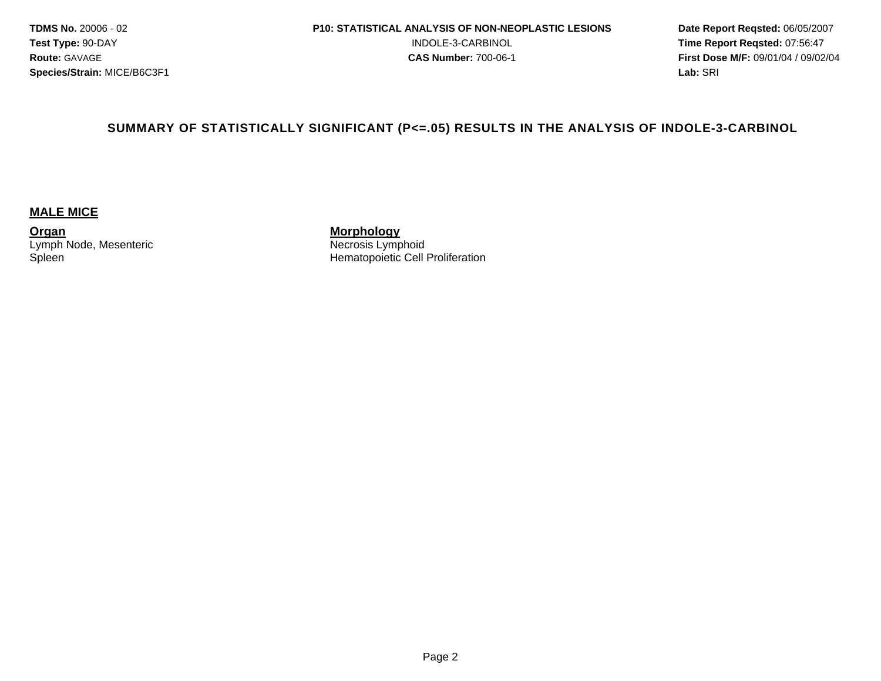#### **SUMMARY OF STATISTICALLY SIGNIFICANT (P<=.05) RESULTS IN THE ANALYSIS OF INDOLE-3-CARBINOL**

#### **MALE MICE**

**Organ**  Lymph Node, Mesenteric **Spleen** 

**Morphology**  Necrosis Lymphoid Hematopoietic Cell Proliferation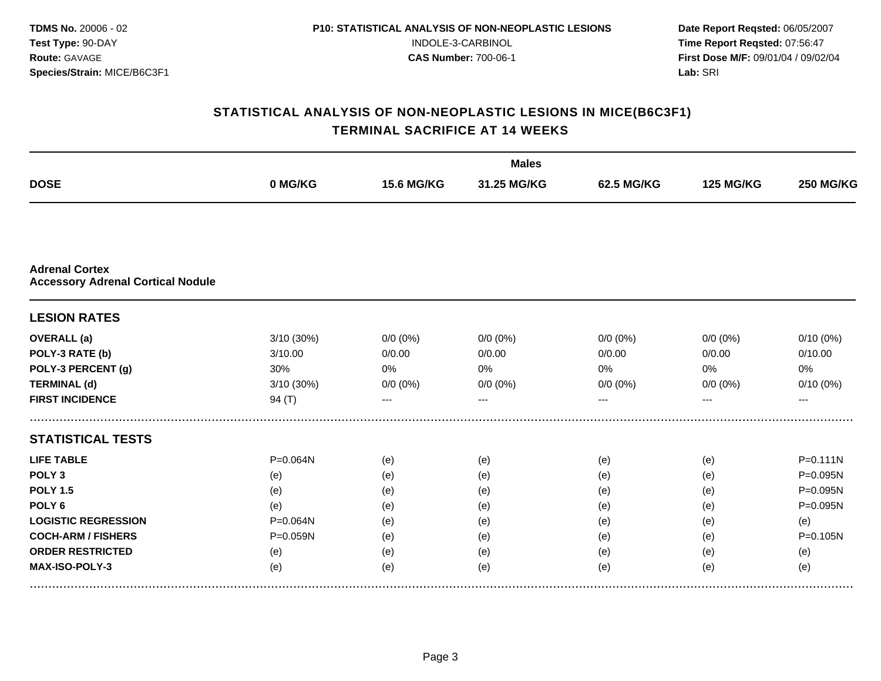|                                                                   |            |                   | <b>Males</b> |             |                  |                  |
|-------------------------------------------------------------------|------------|-------------------|--------------|-------------|------------------|------------------|
| <b>DOSE</b>                                                       | 0 MG/KG    | <b>15.6 MG/KG</b> | 31.25 MG/KG  | 62.5 MG/KG  | <b>125 MG/KG</b> | <b>250 MG/KG</b> |
|                                                                   |            |                   |              |             |                  |                  |
| <b>Adrenal Cortex</b><br><b>Accessory Adrenal Cortical Nodule</b> |            |                   |              |             |                  |                  |
| <b>LESION RATES</b>                                               |            |                   |              |             |                  |                  |
| <b>OVERALL</b> (a)                                                | 3/10 (30%) | $0/0 (0\%)$       | $0/0(0\%)$   | $0/0 (0\%)$ | $0/0 (0\%)$      | $0/10(0\%)$      |
| POLY-3 RATE (b)                                                   | 3/10.00    | 0/0.00            | 0/0.00       | 0/0.00      | 0/0.00           | 0/10.00          |
| POLY-3 PERCENT (g)                                                | 30%        | 0%                | 0%           | 0%          | $0\%$            | 0%               |
| <b>TERMINAL (d)</b>                                               | 3/10 (30%) | $0/0 (0\%)$       | $0/0 (0\%)$  | $0/0 (0\%)$ | $0/0 (0\%)$      | $0/10(0\%)$      |
| <b>FIRST INCIDENCE</b>                                            | 94 $(T)$   |                   |              |             |                  | ---              |
| <b>STATISTICAL TESTS</b>                                          |            |                   |              |             |                  |                  |
| <b>LIFE TABLE</b>                                                 | P=0.064N   | (e)               | (e)          | (e)         | (e)              | $P = 0.111N$     |
| POLY <sub>3</sub>                                                 | (e)        | (e)               | (e)          | (e)         | (e)              | P=0.095N         |
| <b>POLY 1.5</b>                                                   | (e)        | (e)               | (e)          | (e)         | (e)              | P=0.095N         |
| POLY <sub>6</sub>                                                 | (e)        | (e)               | (e)          | (e)         | (e)              | P=0.095N         |
| <b>LOGISTIC REGRESSION</b>                                        | P=0.064N   | (e)               | (e)          | (e)         | (e)              | (e)              |
| <b>COCH-ARM / FISHERS</b>                                         | P=0.059N   | (e)               | (e)          | (e)         | (e)              | $P = 0.105N$     |
| <b>ORDER RESTRICTED</b>                                           | (e)        | (e)               | (e)          | (e)         | (e)              | (e)              |
| MAX-ISO-POLY-3                                                    | (e)        | (e)               | (e)          | (e)         | (e)              | (e)              |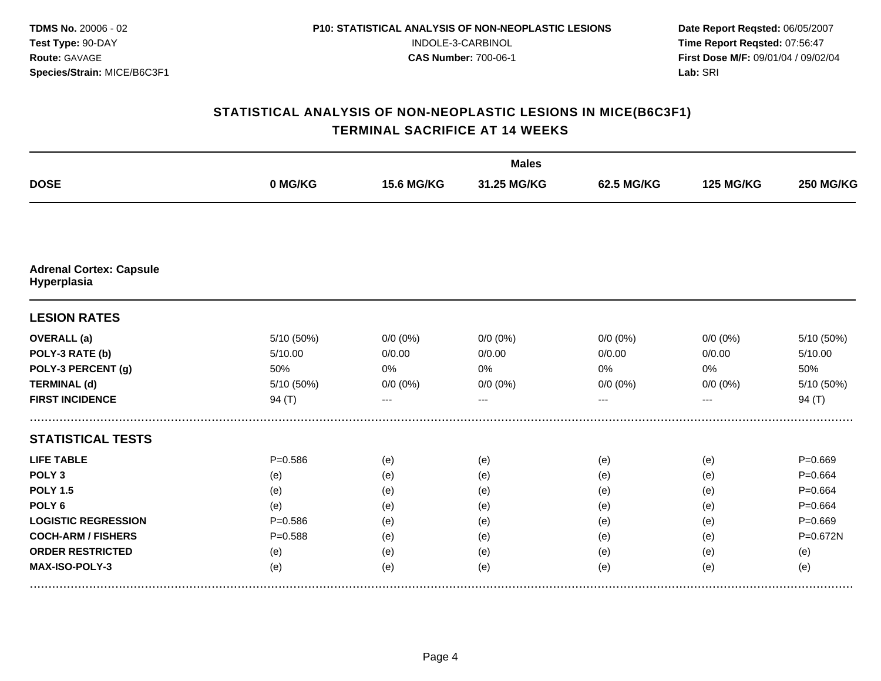|                                               |             |                   | <b>Males</b> |             |                  |                  |
|-----------------------------------------------|-------------|-------------------|--------------|-------------|------------------|------------------|
| <b>DOSE</b>                                   | 0 MG/KG     | <b>15.6 MG/KG</b> | 31.25 MG/KG  | 62.5 MG/KG  | <b>125 MG/KG</b> | <b>250 MG/KG</b> |
|                                               |             |                   |              |             |                  |                  |
| <b>Adrenal Cortex: Capsule</b><br>Hyperplasia |             |                   |              |             |                  |                  |
| <b>LESION RATES</b>                           |             |                   |              |             |                  |                  |
| <b>OVERALL</b> (a)                            | 5/10 (50%)  | $0/0 (0\%)$       | $0/0(0\%)$   | $0/0 (0\%)$ | $0/0 (0\%)$      | 5/10 (50%)       |
| POLY-3 RATE (b)                               | 5/10.00     | 0/0.00            | 0/0.00       | 0/0.00      | 0/0.00           | 5/10.00          |
| POLY-3 PERCENT (g)                            | 50%         | $0\%$             | 0%           | 0%          | $0\%$            | 50%              |
| <b>TERMINAL (d)</b>                           | 5/10 (50%)  | $0/0 (0\%)$       | $0/0 (0\%)$  | $0/0 (0\%)$ | $0/0 (0\%)$      | 5/10 (50%)       |
| <b>FIRST INCIDENCE</b>                        | 94 $(T)$    |                   |              |             |                  | 94 $(T)$         |
| <b>STATISTICAL TESTS</b>                      |             |                   |              |             |                  |                  |
| <b>LIFE TABLE</b>                             | $P = 0.586$ | (e)               | (e)          | (e)         | (e)              | $P = 0.669$      |
| POLY <sub>3</sub>                             | (e)         | (e)               | (e)          | (e)         | (e)              | $P = 0.664$      |
| <b>POLY 1.5</b>                               | (e)         | (e)               | (e)          | (e)         | (e)              | $P = 0.664$      |
| POLY <sub>6</sub>                             | (e)         | (e)               | (e)          | (e)         | (e)              | $P = 0.664$      |
| <b>LOGISTIC REGRESSION</b>                    | $P = 0.586$ | (e)               | (e)          | (e)         | (e)              | $P = 0.669$      |
| <b>COCH-ARM / FISHERS</b>                     | $P = 0.588$ | (e)               | (e)          | (e)         | (e)              | $P = 0.672N$     |
| <b>ORDER RESTRICTED</b>                       | (e)         | (e)               | (e)          | (e)         | (e)              | (e)              |
| MAX-ISO-POLY-3                                | (e)         | (e)               | (e)          | (e)         | (e)              | (e)              |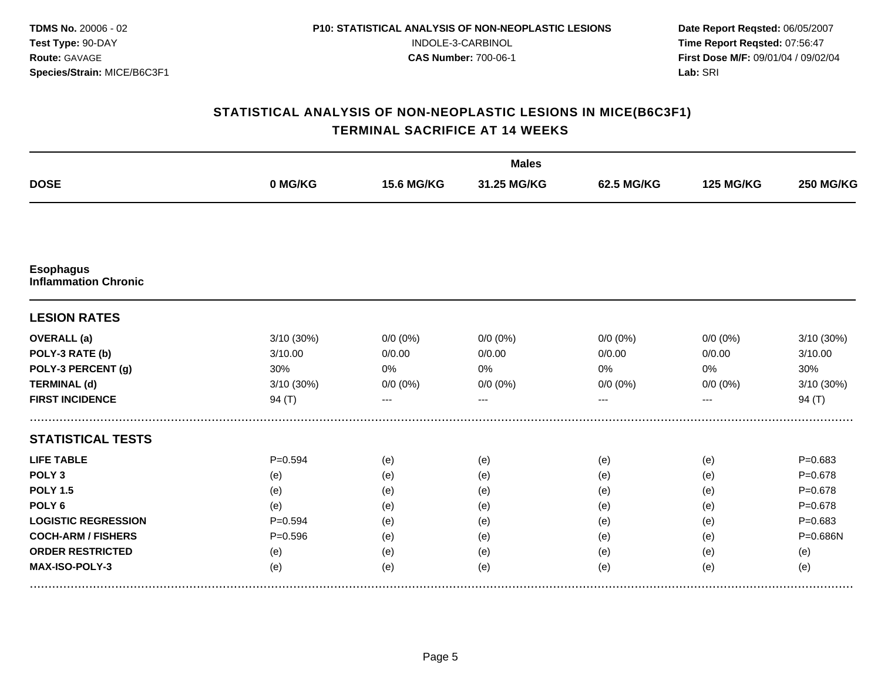|                                                 |             |                   | <b>Males</b> |             |                  |                  |
|-------------------------------------------------|-------------|-------------------|--------------|-------------|------------------|------------------|
| <b>DOSE</b>                                     | 0 MG/KG     | <b>15.6 MG/KG</b> | 31.25 MG/KG  | 62.5 MG/KG  | <b>125 MG/KG</b> | <b>250 MG/KG</b> |
|                                                 |             |                   |              |             |                  |                  |
| <b>Esophagus</b><br><b>Inflammation Chronic</b> |             |                   |              |             |                  |                  |
| <b>LESION RATES</b>                             |             |                   |              |             |                  |                  |
| <b>OVERALL</b> (a)                              | 3/10 (30%)  | $0/0 (0\%)$       | $0/0 (0\%)$  | $0/0 (0\%)$ | $0/0 (0\%)$      | 3/10 (30%)       |
| POLY-3 RATE (b)                                 | 3/10.00     | 0/0.00            | 0/0.00       | 0/0.00      | 0/0.00           | 3/10.00          |
| POLY-3 PERCENT (g)                              | 30%         | 0%                | 0%           | 0%          | 0%               | 30%              |
| <b>TERMINAL (d)</b>                             | 3/10 (30%)  | $0/0 (0\%)$       | $0/0 (0\%)$  | $0/0 (0\%)$ | $0/0 (0\%)$      | 3/10 (30%)       |
| <b>FIRST INCIDENCE</b>                          | 94 $(T)$    |                   |              |             |                  | 94 $(T)$         |
| <b>STATISTICAL TESTS</b>                        |             |                   |              |             |                  |                  |
| <b>LIFE TABLE</b>                               | $P = 0.594$ | (e)               | (e)          | (e)         | (e)              | $P = 0.683$      |
| POLY <sub>3</sub>                               | (e)         | (e)               | (e)          | (e)         | (e)              | $P = 0.678$      |
| <b>POLY 1.5</b>                                 | (e)         | (e)               | (e)          | (e)         | (e)              | $P = 0.678$      |
| POLY <sub>6</sub>                               | (e)         | (e)               | (e)          | (e)         | (e)              | $P = 0.678$      |
| <b>LOGISTIC REGRESSION</b>                      | $P = 0.594$ | (e)               | (e)          | (e)         | (e)              | $P = 0.683$      |
| <b>COCH-ARM / FISHERS</b>                       | $P = 0.596$ | (e)               | (e)          | (e)         | (e)              | P=0.686N         |
| <b>ORDER RESTRICTED</b>                         | (e)         | (e)               | (e)          | (e)         | (e)              | (e)              |
| MAX-ISO-POLY-3                                  | (e)         | (e)               | (e)          | (e)         | (e)              | (e)              |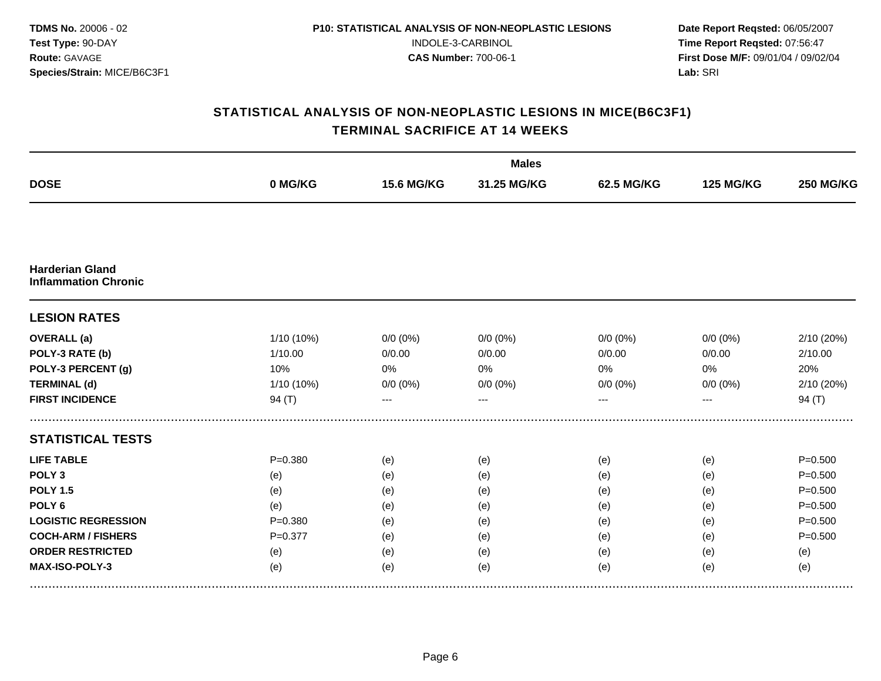|                                                       |             |                   | <b>Males</b> |             |                  |                  |
|-------------------------------------------------------|-------------|-------------------|--------------|-------------|------------------|------------------|
| <b>DOSE</b>                                           | 0 MG/KG     | <b>15.6 MG/KG</b> | 31.25 MG/KG  | 62.5 MG/KG  | <b>125 MG/KG</b> | <b>250 MG/KG</b> |
|                                                       |             |                   |              |             |                  |                  |
| <b>Harderian Gland</b><br><b>Inflammation Chronic</b> |             |                   |              |             |                  |                  |
| <b>LESION RATES</b>                                   |             |                   |              |             |                  |                  |
| <b>OVERALL</b> (a)                                    | 1/10 (10%)  | $0/0 (0\%)$       | $0/0(0\%)$   | $0/0 (0\%)$ | $0/0 (0\%)$      | 2/10 (20%)       |
| POLY-3 RATE (b)                                       | 1/10.00     | 0/0.00            | 0/0.00       | 0/0.00      | 0/0.00           | 2/10.00          |
| POLY-3 PERCENT (g)                                    | 10%         | 0%                | 0%           | 0%          | $0\%$            | 20%              |
| <b>TERMINAL (d)</b>                                   | 1/10 (10%)  | $0/0 (0\%)$       | $0/0 (0\%)$  | $0/0 (0\%)$ | $0/0 (0\%)$      | 2/10 (20%)       |
| <b>FIRST INCIDENCE</b>                                | 94 $(T)$    |                   |              |             |                  | 94 $(T)$         |
| <b>STATISTICAL TESTS</b>                              |             |                   |              |             |                  |                  |
| <b>LIFE TABLE</b>                                     | $P = 0.380$ | (e)               | (e)          | (e)         | (e)              | $P = 0.500$      |
| POLY <sub>3</sub>                                     | (e)         | (e)               | (e)          | (e)         | (e)              | $P = 0.500$      |
| <b>POLY 1.5</b>                                       | (e)         | (e)               | (e)          | (e)         | (e)              | $P = 0.500$      |
| POLY <sub>6</sub>                                     | (e)         | (e)               | (e)          | (e)         | (e)              | $P = 0.500$      |
| <b>LOGISTIC REGRESSION</b>                            | $P = 0.380$ | (e)               | (e)          | (e)         | (e)              | $P = 0.500$      |
| <b>COCH-ARM / FISHERS</b>                             | $P = 0.377$ | (e)               | (e)          | (e)         | (e)              | $P = 0.500$      |
| <b>ORDER RESTRICTED</b>                               | (e)         | (e)               | (e)          | (e)         | (e)              | (e)              |
| MAX-ISO-POLY-3                                        | (e)         | (e)               | (e)          | (e)         | (e)              | (e)              |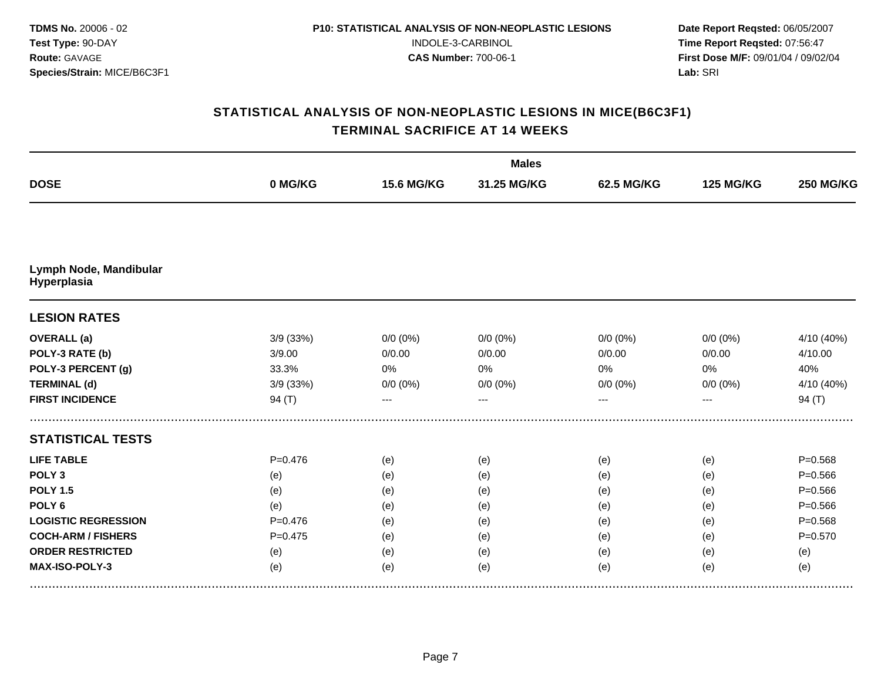|                                       |             |                   | <b>Males</b> |             |                  |                  |
|---------------------------------------|-------------|-------------------|--------------|-------------|------------------|------------------|
| <b>DOSE</b>                           | 0 MG/KG     | <b>15.6 MG/KG</b> | 31.25 MG/KG  | 62.5 MG/KG  | <b>125 MG/KG</b> | <b>250 MG/KG</b> |
|                                       |             |                   |              |             |                  |                  |
| Lymph Node, Mandibular<br>Hyperplasia |             |                   |              |             |                  |                  |
| <b>LESION RATES</b>                   |             |                   |              |             |                  |                  |
| <b>OVERALL</b> (a)                    | 3/9 (33%)   | $0/0 (0\%)$       | $0/0(0\%)$   | $0/0 (0\%)$ | $0/0 (0\%)$      | 4/10 (40%)       |
| POLY-3 RATE (b)                       | 3/9.00      | 0/0.00            | 0/0.00       | 0/0.00      | 0/0.00           | 4/10.00          |
| POLY-3 PERCENT (g)                    | 33.3%       | 0%                | 0%           | 0%          | $0\%$            | 40%              |
| <b>TERMINAL (d)</b>                   | 3/9 (33%)   | $0/0 (0\%)$       | $0/0 (0\%)$  | $0/0 (0\%)$ | $0/0 (0\%)$      | 4/10 (40%)       |
| <b>FIRST INCIDENCE</b>                | 94 $(T)$    |                   |              |             |                  | 94 $(T)$         |
| <b>STATISTICAL TESTS</b>              |             |                   |              |             |                  |                  |
| <b>LIFE TABLE</b>                     | $P = 0.476$ | (e)               | (e)          | (e)         | (e)              | $P = 0.568$      |
| POLY <sub>3</sub>                     | (e)         | (e)               | (e)          | (e)         | (e)              | $P = 0.566$      |
| <b>POLY 1.5</b>                       | (e)         | (e)               | (e)          | (e)         | (e)              | $P = 0.566$      |
| POLY <sub>6</sub>                     | (e)         | (e)               | (e)          | (e)         | (e)              | $P = 0.566$      |
| <b>LOGISTIC REGRESSION</b>            | $P=0.476$   | (e)               | (e)          | (e)         | (e)              | $P = 0.568$      |
| <b>COCH-ARM / FISHERS</b>             | $P = 0.475$ | (e)               | (e)          | (e)         | (e)              | $P = 0.570$      |
| <b>ORDER RESTRICTED</b>               | (e)         | (e)               | (e)          | (e)         | (e)              | (e)              |
| MAX-ISO-POLY-3                        | (e)         | (e)               | (e)          | (e)         | (e)              | (e)              |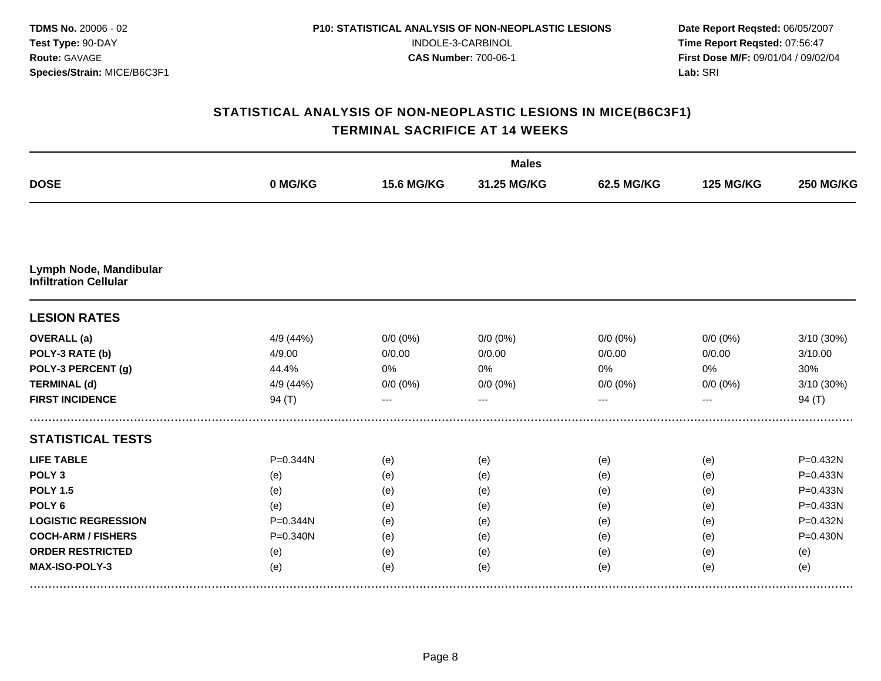|                                                        |              |                   | <b>Males</b> |             |                  |                  |
|--------------------------------------------------------|--------------|-------------------|--------------|-------------|------------------|------------------|
| <b>DOSE</b>                                            | 0 MG/KG      | <b>15.6 MG/KG</b> | 31.25 MG/KG  | 62.5 MG/KG  | <b>125 MG/KG</b> | <b>250 MG/KG</b> |
|                                                        |              |                   |              |             |                  |                  |
| Lymph Node, Mandibular<br><b>Infiltration Cellular</b> |              |                   |              |             |                  |                  |
| <b>LESION RATES</b>                                    |              |                   |              |             |                  |                  |
| <b>OVERALL</b> (a)                                     | 4/9 (44%)    | $0/0 (0\%)$       | $0/0 (0\%)$  | $0/0 (0\%)$ | $0/0 (0\%)$      | 3/10 (30%)       |
| POLY-3 RATE (b)                                        | 4/9.00       | 0/0.00            | 0/0.00       | 0/0.00      | 0/0.00           | 3/10.00          |
| POLY-3 PERCENT (g)                                     | 44.4%        | 0%                | 0%           | 0%          | 0%               | 30%              |
| <b>TERMINAL (d)</b>                                    | 4/9 (44%)    | $0/0 (0\%)$       | $0/0 (0\%)$  | $0/0 (0\%)$ | $0/0 (0\%)$      | 3/10 (30%)       |
| <b>FIRST INCIDENCE</b>                                 | 94 $(T)$     | ---               | ---          | ---         | ---              | 94 $(T)$         |
| <b>STATISTICAL TESTS</b>                               |              |                   |              |             |                  |                  |
| <b>LIFE TABLE</b>                                      | P=0.344N     | (e)               | (e)          | (e)         | (e)              | P=0.432N         |
| POLY <sub>3</sub>                                      | (e)          | (e)               | (e)          | (e)         | (e)              | P=0.433N         |
| <b>POLY 1.5</b>                                        | (e)          | (e)               | (e)          | (e)         | (e)              | P=0.433N         |
| POLY <sub>6</sub>                                      | (e)          | (e)               | (e)          | (e)         | (e)              | P=0.433N         |
| <b>LOGISTIC REGRESSION</b>                             | P=0.344N     | (e)               | (e)          | (e)         | (e)              | P=0.432N         |
| <b>COCH-ARM / FISHERS</b>                              | $P = 0.340N$ | (e)               | (e)          | (e)         | (e)              | $P = 0.430N$     |
| <b>ORDER RESTRICTED</b>                                | (e)          | (e)               | (e)          | (e)         | (e)              | (e)              |
| MAX-ISO-POLY-3                                         | (e)          | (e)               | (e)          | (e)         | (e)              | (e)              |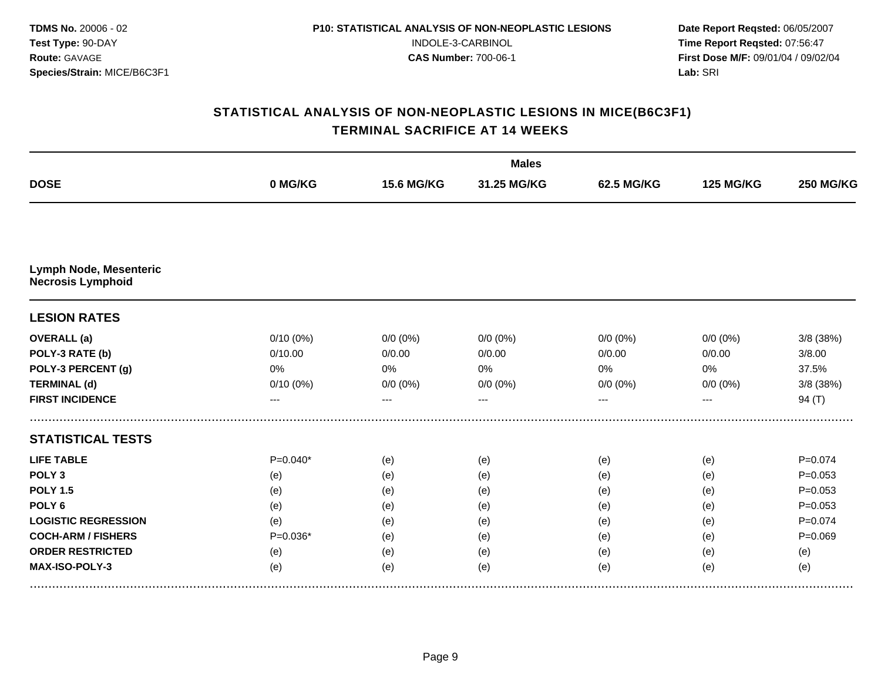|                                                    |            |                   | <b>Males</b> |             |                  |                  |
|----------------------------------------------------|------------|-------------------|--------------|-------------|------------------|------------------|
| <b>DOSE</b>                                        | 0 MG/KG    | <b>15.6 MG/KG</b> | 31.25 MG/KG  | 62.5 MG/KG  | <b>125 MG/KG</b> | <b>250 MG/KG</b> |
|                                                    |            |                   |              |             |                  |                  |
| Lymph Node, Mesenteric<br><b>Necrosis Lymphoid</b> |            |                   |              |             |                  |                  |
| <b>LESION RATES</b>                                |            |                   |              |             |                  |                  |
| <b>OVERALL</b> (a)                                 | 0/10(0%)   | $0/0 (0\%)$       | $0/0 (0\%)$  | $0/0 (0\%)$ | $0/0 (0\%)$      | 3/8 (38%)        |
| POLY-3 RATE (b)                                    | 0/10.00    | 0/0.00            | 0/0.00       | 0/0.00      | 0/0.00           | 3/8.00           |
| POLY-3 PERCENT (g)                                 | 0%         | 0%                | 0%           | 0%          | 0%               | 37.5%            |
| <b>TERMINAL (d)</b>                                | 0/10(0%)   | $0/0 (0\%)$       | $0/0 (0\%)$  | $0/0 (0\%)$ | $0/0 (0\%)$      | $3/8$ (38%)      |
| <b>FIRST INCIDENCE</b>                             | ---        | ---               | $---$        | ---         | ---              | 94(T)            |
| <b>STATISTICAL TESTS</b>                           |            |                   |              |             |                  |                  |
| <b>LIFE TABLE</b>                                  | $P=0.040*$ | (e)               | (e)          | (e)         | (e)              | $P = 0.074$      |
| POLY <sub>3</sub>                                  | (e)        | (e)               | (e)          | (e)         | (e)              | $P = 0.053$      |
| <b>POLY 1.5</b>                                    | (e)        | (e)               | (e)          | (e)         | (e)              | $P = 0.053$      |
| POLY <sub>6</sub>                                  | (e)        | (e)               | (e)          | (e)         | (e)              | $P = 0.053$      |
| <b>LOGISTIC REGRESSION</b>                         | (e)        | (e)               | (e)          | (e)         | (e)              | $P = 0.074$      |
| <b>COCH-ARM / FISHERS</b>                          | $P=0.036*$ | (e)               | (e)          | (e)         | (e)              | $P = 0.069$      |
| <b>ORDER RESTRICTED</b>                            | (e)        | (e)               | (e)          | (e)         | (e)              | (e)              |
| MAX-ISO-POLY-3                                     | (e)        | (e)               | (e)          | (e)         | (e)              | (e)              |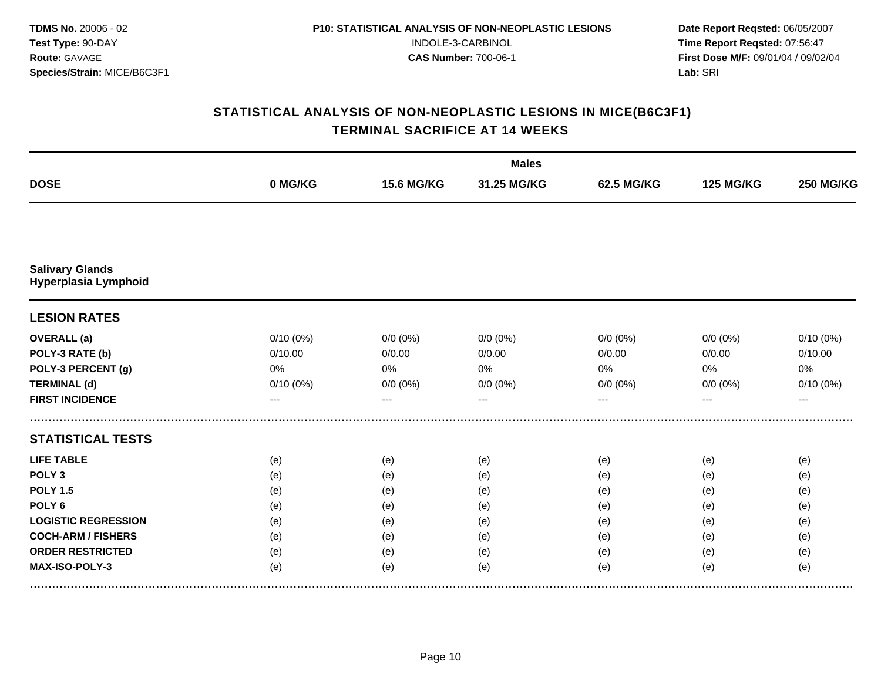|                                                |          |                   | <b>Males</b> |             |                  |                  |
|------------------------------------------------|----------|-------------------|--------------|-------------|------------------|------------------|
| <b>DOSE</b>                                    | 0 MG/KG  | <b>15.6 MG/KG</b> | 31.25 MG/KG  | 62.5 MG/KG  | <b>125 MG/KG</b> | <b>250 MG/KG</b> |
|                                                |          |                   |              |             |                  |                  |
| <b>Salivary Glands</b><br>Hyperplasia Lymphoid |          |                   |              |             |                  |                  |
| <b>LESION RATES</b>                            |          |                   |              |             |                  |                  |
| <b>OVERALL</b> (a)                             | 0/10(0%) | $0/0 (0\%)$       | $0/0(0\%)$   | $0/0 (0\%)$ | $0/0 (0\%)$      | $0/10(0\%)$      |
| POLY-3 RATE (b)                                | 0/10.00  | 0/0.00            | 0/0.00       | 0/0.00      | 0/0.00           | 0/10.00          |
| POLY-3 PERCENT (g)                             | 0%       | 0%                | 0%           | 0%          | 0%               | 0%               |
| <b>TERMINAL (d)</b>                            | 0/10(0%) | $0/0 (0\%)$       | $0/0 (0\%)$  | $0/0 (0\%)$ | $0/0 (0\%)$      | 0/10(0%)         |
| <b>FIRST INCIDENCE</b>                         | ---      |                   |              |             |                  | ---              |
| <b>STATISTICAL TESTS</b>                       |          |                   |              |             |                  |                  |
| <b>LIFE TABLE</b>                              | (e)      | (e)               | (e)          | (e)         | (e)              | (e)              |
| POLY <sub>3</sub>                              | (e)      | (e)               | (e)          | (e)         | (e)              | (e)              |
| <b>POLY 1.5</b>                                | (e)      | (e)               | (e)          | (e)         | (e)              | (e)              |
| POLY <sub>6</sub>                              | (e)      | (e)               | (e)          | (e)         | (e)              | (e)              |
| <b>LOGISTIC REGRESSION</b>                     | (e)      | (e)               | (e)          | (e)         | (e)              | (e)              |
| <b>COCH-ARM / FISHERS</b>                      | (e)      | (e)               | (e)          | (e)         | (e)              | (e)              |
| <b>ORDER RESTRICTED</b>                        | (e)      | (e)               | (e)          | (e)         | (e)              | (e)              |
| MAX-ISO-POLY-3                                 | (e)      | (e)               | (e)          | (e)         | (e)              | (e)              |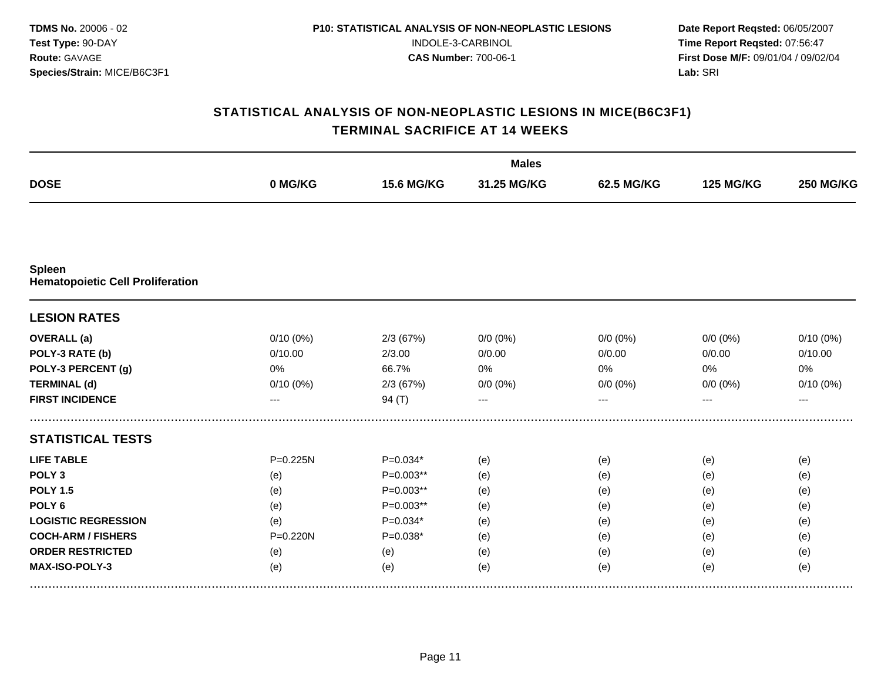|                                                   |          |                   | <b>Males</b> |             |                  |                  |
|---------------------------------------------------|----------|-------------------|--------------|-------------|------------------|------------------|
| <b>DOSE</b>                                       | 0 MG/KG  | <b>15.6 MG/KG</b> | 31.25 MG/KG  | 62.5 MG/KG  | <b>125 MG/KG</b> | <b>250 MG/KG</b> |
|                                                   |          |                   |              |             |                  |                  |
| Spleen<br><b>Hematopoietic Cell Proliferation</b> |          |                   |              |             |                  |                  |
| <b>LESION RATES</b>                               |          |                   |              |             |                  |                  |
| <b>OVERALL</b> (a)                                | 0/10(0%) | 2/3(67%)          | $0/0(0\%)$   | $0/0 (0\%)$ | $0/0 (0\%)$      | $0/10(0\%)$      |
| POLY-3 RATE (b)                                   | 0/10.00  | 2/3.00            | 0/0.00       | 0/0.00      | 0/0.00           | 0/10.00          |
| POLY-3 PERCENT (g)                                | 0%       | 66.7%             | 0%           | 0%          | $0\%$            | 0%               |
| <b>TERMINAL (d)</b>                               | 0/10(0%) | 2/3(67%)          | $0/0 (0\%)$  | $0/0 (0\%)$ | $0/0 (0\%)$      | 0/10(0%)         |
| <b>FIRST INCIDENCE</b>                            |          | 94 $(T)$          |              |             |                  |                  |
| <b>STATISTICAL TESTS</b>                          |          |                   |              |             |                  |                  |
| <b>LIFE TABLE</b>                                 | P=0.225N | $P=0.034*$        | (e)          | (e)         | (e)              | (e)              |
| POLY <sub>3</sub>                                 | (e)      | $P=0.003**$       | (e)          | (e)         | (e)              | (e)              |
| <b>POLY 1.5</b>                                   | (e)      | P=0.003**         | (e)          | (e)         | (e)              | (e)              |
| POLY <sub>6</sub>                                 | (e)      | $P=0.003**$       | (e)          | (e)         | (e)              | (e)              |
| <b>LOGISTIC REGRESSION</b>                        | (e)      | $P=0.034*$        | (e)          | (e)         | (e)              | (e)              |
| <b>COCH-ARM / FISHERS</b>                         | P=0.220N | $P=0.038*$        | (e)          | (e)         | (e)              | (e)              |
| <b>ORDER RESTRICTED</b>                           | (e)      | (e)               | (e)          | (e)         | (e)              | (e)              |
| MAX-ISO-POLY-3                                    | (e)      | (e)               | (e)          | (e)         | (e)              | (e)              |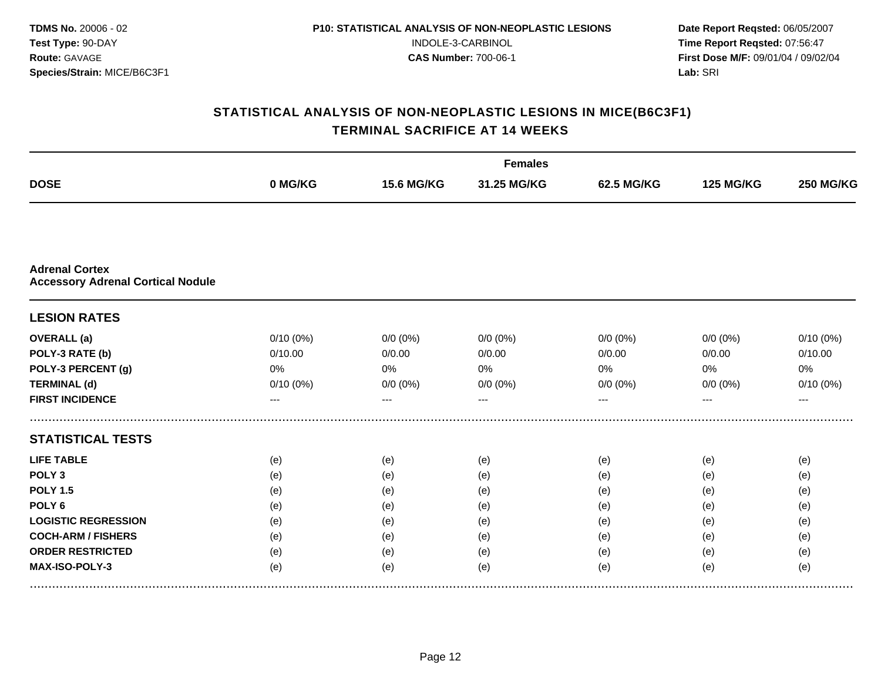|                                                                   |             |                   | <b>Females</b> |              |                  |                  |
|-------------------------------------------------------------------|-------------|-------------------|----------------|--------------|------------------|------------------|
| <b>DOSE</b>                                                       | 0 MG/KG     | <b>15.6 MG/KG</b> | 31.25 MG/KG    | 62.5 MG/KG   | <b>125 MG/KG</b> | <b>250 MG/KG</b> |
|                                                                   |             |                   |                |              |                  |                  |
| <b>Adrenal Cortex</b><br><b>Accessory Adrenal Cortical Nodule</b> |             |                   |                |              |                  |                  |
| <b>LESION RATES</b>                                               |             |                   |                |              |                  |                  |
| <b>OVERALL</b> (a)                                                | 0/10(0%)    | $0/0 (0\%)$       | $0/0 (0\%)$    | $0/0$ $(0%)$ | $0/0 (0\%)$      | $0/10(0\%)$      |
| POLY-3 RATE (b)                                                   | 0/10.00     | 0/0.00            | 0/0.00         | 0/0.00       | 0/0.00           | 0/10.00          |
| POLY-3 PERCENT (g)                                                | 0%          | 0%                | 0%             | 0%           | 0%               | 0%               |
| <b>TERMINAL (d)</b>                                               | $0/10(0\%)$ | $0/0 (0\%)$       | $0/0 (0\%)$    | $0/0 (0\%)$  | $0/0 (0\%)$      | $0/10(0\%)$      |
| <b>FIRST INCIDENCE</b>                                            | ---         | ---               | ---            | ---          | ---              | $---$            |
| <b>STATISTICAL TESTS</b>                                          |             |                   |                |              |                  |                  |
| <b>LIFE TABLE</b>                                                 | (e)         | (e)               | (e)            | (e)          | (e)              | (e)              |
| POLY <sub>3</sub>                                                 | (e)         | (e)               | (e)            | (e)          | (e)              | (e)              |
| <b>POLY 1.5</b>                                                   | (e)         | (e)               | (e)            | (e)          | (e)              | (e)              |
| POLY <sub>6</sub>                                                 | (e)         | (e)               | (e)            | (e)          | (e)              | (e)              |
| <b>LOGISTIC REGRESSION</b>                                        | (e)         | (e)               | (e)            | (e)          | (e)              | (e)              |
| <b>COCH-ARM / FISHERS</b>                                         | (e)         | (e)               | (e)            | (e)          | (e)              | (e)              |
| <b>ORDER RESTRICTED</b>                                           | (e)         | (e)               | (e)            | (e)          | (e)              | (e)              |
| MAX-ISO-POLY-3                                                    | (e)         | (e)               | (e)            | (e)          | (e)              | (e)              |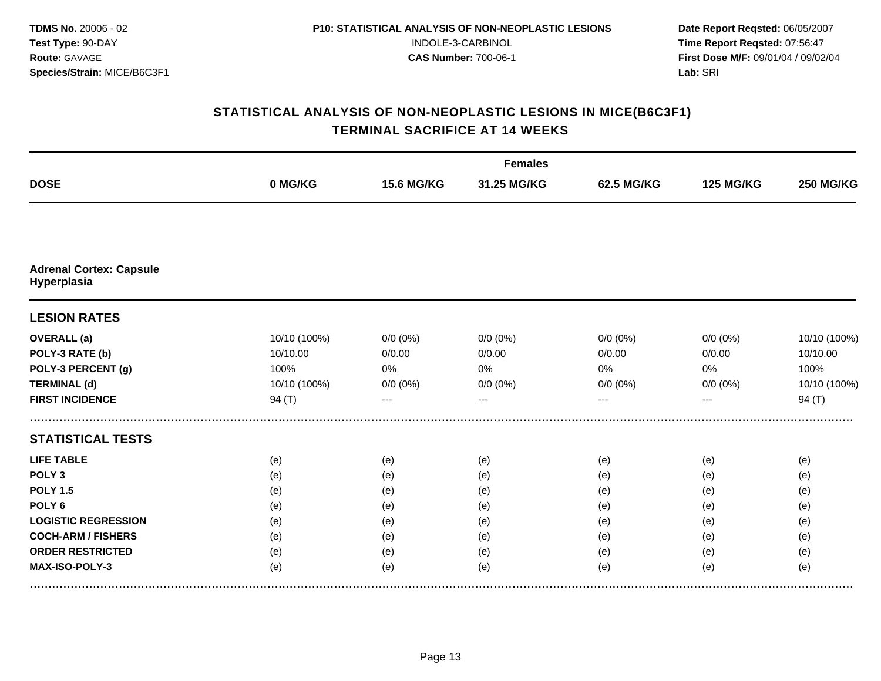|                                               |              |                   | <b>Females</b> |              |                  |                  |
|-----------------------------------------------|--------------|-------------------|----------------|--------------|------------------|------------------|
| <b>DOSE</b>                                   | 0 MG/KG      | <b>15.6 MG/KG</b> | 31.25 MG/KG    | 62.5 MG/KG   | <b>125 MG/KG</b> | <b>250 MG/KG</b> |
|                                               |              |                   |                |              |                  |                  |
| <b>Adrenal Cortex: Capsule</b><br>Hyperplasia |              |                   |                |              |                  |                  |
| <b>LESION RATES</b>                           |              |                   |                |              |                  |                  |
| <b>OVERALL</b> (a)                            | 10/10 (100%) | $0/0 (0\%)$       | $0/0 (0\%)$    | $0/0$ $(0%)$ | $0/0$ (0%)       | 10/10 (100%)     |
| POLY-3 RATE (b)                               | 10/10.00     | 0/0.00            | 0/0.00         | 0/0.00       | 0/0.00           | 10/10.00         |
| POLY-3 PERCENT (g)                            | 100%         | 0%                | 0%             | 0%           | 0%               | 100%             |
| <b>TERMINAL (d)</b>                           | 10/10 (100%) | $0/0 (0\%)$       | $0/0 (0\%)$    | $0/0 (0\%)$  | $0/0 (0\%)$      | 10/10 (100%)     |
| <b>FIRST INCIDENCE</b>                        | 94 (T)       |                   |                |              |                  | 94(T)            |
| <b>STATISTICAL TESTS</b>                      |              |                   |                |              |                  |                  |
| <b>LIFE TABLE</b>                             | (e)          | (e)               | (e)            | (e)          | (e)              | (e)              |
| POLY <sub>3</sub>                             | (e)          | (e)               | (e)            | (e)          | (e)              | (e)              |
| <b>POLY 1.5</b>                               | (e)          | (e)               | (e)            | (e)          | (e)              | (e)              |
| POLY <sub>6</sub>                             | (e)          | (e)               | (e)            | (e)          | (e)              | (e)              |
| <b>LOGISTIC REGRESSION</b>                    | (e)          | (e)               | (e)            | (e)          | (e)              | (e)              |
| <b>COCH-ARM / FISHERS</b>                     | (e)          | (e)               | (e)            | (e)          | (e)              | (e)              |
| <b>ORDER RESTRICTED</b>                       | (e)          | (e)               | (e)            | (e)          | (e)              | (e)              |
| MAX-ISO-POLY-3                                | (e)          | (e)               | (e)            | (e)          | (e)              | (e)              |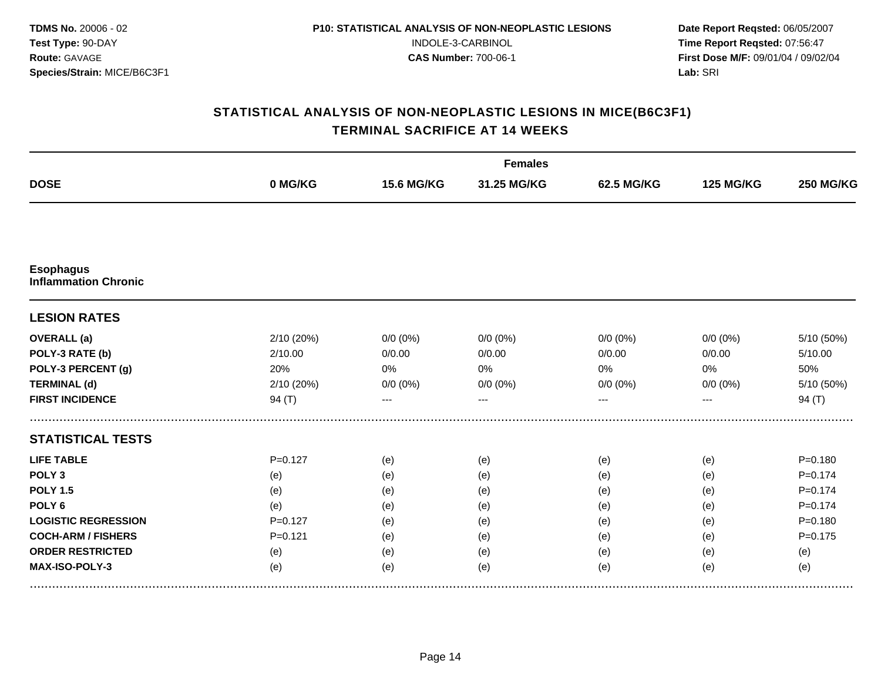|                                                 |             |                   | <b>Females</b> |             |                  |                  |
|-------------------------------------------------|-------------|-------------------|----------------|-------------|------------------|------------------|
| <b>DOSE</b>                                     | 0 MG/KG     | <b>15.6 MG/KG</b> | 31.25 MG/KG    | 62.5 MG/KG  | <b>125 MG/KG</b> | <b>250 MG/KG</b> |
|                                                 |             |                   |                |             |                  |                  |
| <b>Esophagus</b><br><b>Inflammation Chronic</b> |             |                   |                |             |                  |                  |
| <b>LESION RATES</b>                             |             |                   |                |             |                  |                  |
| <b>OVERALL</b> (a)                              | 2/10 (20%)  | $0/0 (0\%)$       | $0/0 (0\%)$    | $0/0 (0\%)$ | $0/0 (0\%)$      | 5/10 (50%)       |
| POLY-3 RATE (b)                                 | 2/10.00     | 0/0.00            | 0/0.00         | 0/0.00      | 0/0.00           | 5/10.00          |
| POLY-3 PERCENT (g)                              | 20%         | 0%                | 0%             | 0%          | 0%               | 50%              |
| <b>TERMINAL (d)</b>                             | 2/10 (20%)  | $0/0 (0\%)$       | $0/0 (0\%)$    | $0/0 (0\%)$ | $0/0 (0\%)$      | 5/10 (50%)       |
| <b>FIRST INCIDENCE</b>                          | 94(T)       | ---               | $---$          | ---         | ---              | 94 $(T)$         |
| <b>STATISTICAL TESTS</b>                        |             |                   |                |             |                  |                  |
| <b>LIFE TABLE</b>                               | $P = 0.127$ | (e)               | (e)            | (e)         | (e)              | $P = 0.180$      |
| POLY <sub>3</sub>                               | (e)         | (e)               | (e)            | (e)         | (e)              | $P = 0.174$      |
| <b>POLY 1.5</b>                                 | (e)         | (e)               | (e)            | (e)         | (e)              | $P = 0.174$      |
| POLY <sub>6</sub>                               | (e)         | (e)               | (e)            | (e)         | (e)              | $P = 0.174$      |
| <b>LOGISTIC REGRESSION</b>                      | $P=0.127$   | (e)               | (e)            | (e)         | (e)              | $P = 0.180$      |
| <b>COCH-ARM / FISHERS</b>                       | $P = 0.121$ | (e)               | (e)            | (e)         | (e)              | $P = 0.175$      |
| <b>ORDER RESTRICTED</b>                         | (e)         | (e)               | (e)            | (e)         | (e)              | (e)              |
| MAX-ISO-POLY-3                                  | (e)         | (e)               | (e)            | (e)         | (e)              | (e)              |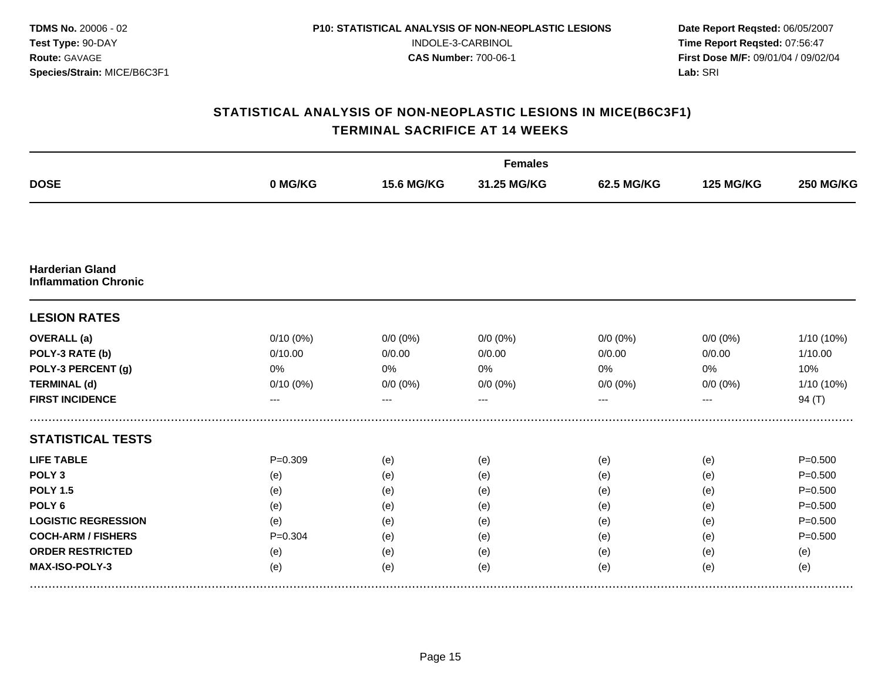|                                                       |             |                   | <b>Females</b> |             |                  |                  |
|-------------------------------------------------------|-------------|-------------------|----------------|-------------|------------------|------------------|
| <b>DOSE</b>                                           | 0 MG/KG     | <b>15.6 MG/KG</b> | 31.25 MG/KG    | 62.5 MG/KG  | <b>125 MG/KG</b> | <b>250 MG/KG</b> |
|                                                       |             |                   |                |             |                  |                  |
| <b>Harderian Gland</b><br><b>Inflammation Chronic</b> |             |                   |                |             |                  |                  |
| <b>LESION RATES</b>                                   |             |                   |                |             |                  |                  |
| <b>OVERALL</b> (a)                                    | $0/10(0\%)$ | $0/0 (0\%)$       | $0/0(0\%)$     | $0/0 (0\%)$ | $0/0 (0\%)$      | 1/10 (10%)       |
| POLY-3 RATE (b)                                       | 0/10.00     | 0/0.00            | 0/0.00         | 0/0.00      | 0/0.00           | 1/10.00          |
| POLY-3 PERCENT (g)                                    | 0%          | 0%                | 0%             | 0%          | 0%               | 10%              |
| <b>TERMINAL (d)</b>                                   | $0/10(0\%)$ | $0/0 (0\%)$       | $0/0 (0\%)$    | $0/0 (0\%)$ | $0/0 (0\%)$      | 1/10 (10%)       |
| <b>FIRST INCIDENCE</b>                                | ---         | ---               | ---            | ---         | ---              | 94 $(T)$         |
| <b>STATISTICAL TESTS</b>                              |             |                   |                |             |                  |                  |
| <b>LIFE TABLE</b>                                     | $P = 0.309$ | (e)               | (e)            | (e)         | (e)              | $P = 0.500$      |
| POLY <sub>3</sub>                                     | (e)         | (e)               | (e)            | (e)         | (e)              | $P = 0.500$      |
| <b>POLY 1.5</b>                                       | (e)         | (e)               | (e)            | (e)         | (e)              | $P = 0.500$      |
| POLY <sub>6</sub>                                     | (e)         | (e)               | (e)            | (e)         | (e)              | $P = 0.500$      |
| <b>LOGISTIC REGRESSION</b>                            | (e)         | (e)               | (e)            | (e)         | (e)              | $P = 0.500$      |
| <b>COCH-ARM / FISHERS</b>                             | $P = 0.304$ | (e)               | (e)            | (e)         | (e)              | $P = 0.500$      |
| <b>ORDER RESTRICTED</b>                               | (e)         | (e)               | (e)            | (e)         | (e)              | (e)              |
| MAX-ISO-POLY-3                                        | (e)         | (e)               | (e)            | (e)         | (e)              | (e)              |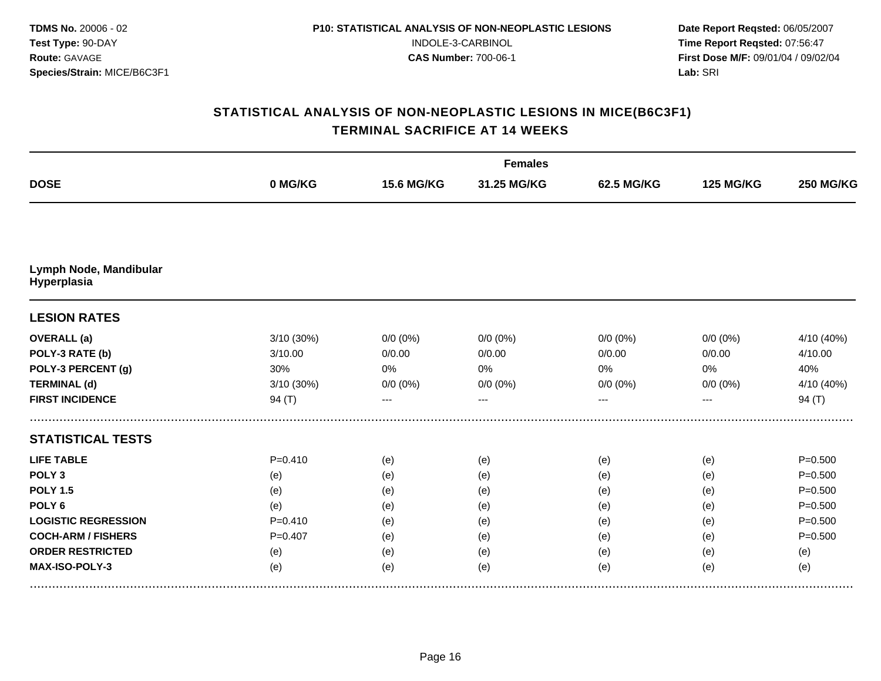|                                       |             |                   | <b>Females</b> |                   |                  |                  |
|---------------------------------------|-------------|-------------------|----------------|-------------------|------------------|------------------|
| <b>DOSE</b>                           | 0 MG/KG     | <b>15.6 MG/KG</b> | 31.25 MG/KG    | <b>62.5 MG/KG</b> | <b>125 MG/KG</b> | <b>250 MG/KG</b> |
|                                       |             |                   |                |                   |                  |                  |
| Lymph Node, Mandibular<br>Hyperplasia |             |                   |                |                   |                  |                  |
| <b>LESION RATES</b>                   |             |                   |                |                   |                  |                  |
| <b>OVERALL</b> (a)                    | 3/10(30%)   | $0/0 (0\%)$       | $0/0(0\%)$     | $0/0(0\%)$        | $0/0 (0\%)$      | 4/10 (40%)       |
| POLY-3 RATE (b)                       | 3/10.00     | 0/0.00            | 0/0.00         | 0/0.00            | 0/0.00           | 4/10.00          |
| POLY-3 PERCENT (g)                    | 30%         | 0%                | 0%             | 0%                | 0%               | 40%              |
| <b>TERMINAL (d)</b>                   | 3/10 (30%)  | $0/0 (0\%)$       | $0/0 (0\%)$    | $0/0 (0\%)$       | $0/0 (0\%)$      | 4/10 (40%)       |
| <b>FIRST INCIDENCE</b>                | 94 $(T)$    | ---               | ---            | ---               | ---              | 94 $(T)$         |
| <b>STATISTICAL TESTS</b>              |             |                   |                |                   |                  |                  |
| <b>LIFE TABLE</b>                     | $P = 0.410$ | (e)               | (e)            | (e)               | (e)              | $P = 0.500$      |
| POLY <sub>3</sub>                     | (e)         | (e)               | (e)            | (e)               | (e)              | $P = 0.500$      |
| <b>POLY 1.5</b>                       | (e)         | (e)               | (e)            | (e)               | (e)              | $P = 0.500$      |
| POLY <sub>6</sub>                     | (e)         | (e)               | (e)            | (e)               | (e)              | $P = 0.500$      |
| <b>LOGISTIC REGRESSION</b>            | $P = 0.410$ | (e)               | (e)            | (e)               | (e)              | $P = 0.500$      |
| <b>COCH-ARM / FISHERS</b>             | $P = 0.407$ | (e)               | (e)            | (e)               | (e)              | $P = 0.500$      |
| <b>ORDER RESTRICTED</b>               | (e)         | (e)               | (e)            | (e)               | (e)              | (e)              |
| MAX-ISO-POLY-3                        | (e)         | (e)               | (e)            | (e)               | (e)              | (e)              |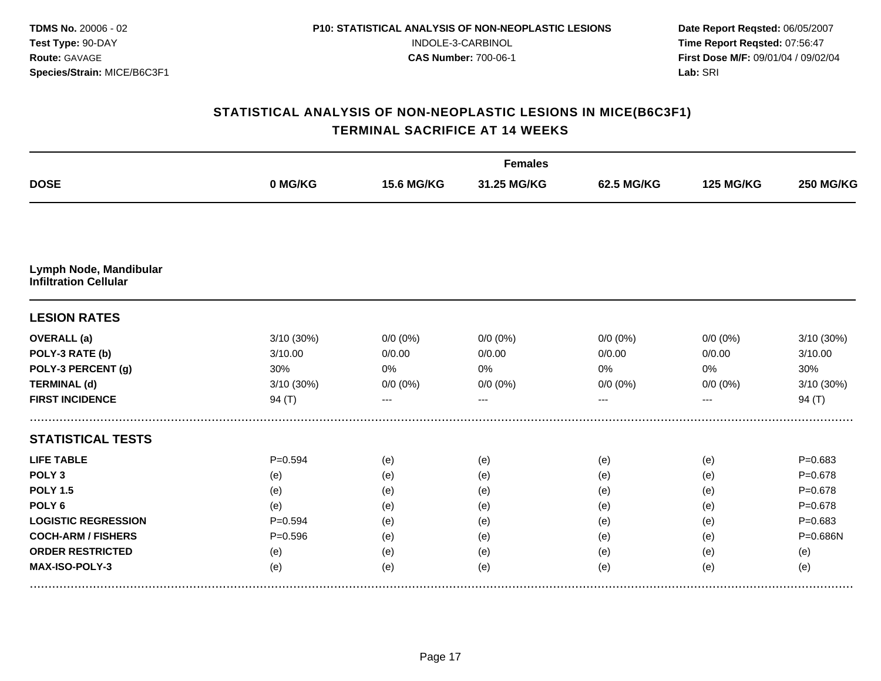|                                                        |             |                   | <b>Females</b> |             |                  |                  |
|--------------------------------------------------------|-------------|-------------------|----------------|-------------|------------------|------------------|
| <b>DOSE</b>                                            | 0 MG/KG     | <b>15.6 MG/KG</b> | 31.25 MG/KG    | 62.5 MG/KG  | <b>125 MG/KG</b> | <b>250 MG/KG</b> |
|                                                        |             |                   |                |             |                  |                  |
| Lymph Node, Mandibular<br><b>Infiltration Cellular</b> |             |                   |                |             |                  |                  |
| <b>LESION RATES</b>                                    |             |                   |                |             |                  |                  |
| <b>OVERALL</b> (a)                                     | 3/10 (30%)  | $0/0 (0\%)$       | $0/0 (0\%)$    | $0/0 (0\%)$ | $0/0 (0\%)$      | 3/10 (30%)       |
| POLY-3 RATE (b)                                        | 3/10.00     | 0/0.00            | 0/0.00         | 0/0.00      | 0/0.00           | 3/10.00          |
| POLY-3 PERCENT (g)                                     | 30%         | 0%                | 0%             | 0%          | 0%               | 30%              |
| <b>TERMINAL (d)</b>                                    | 3/10 (30%)  | $0/0 (0\%)$       | $0/0 (0\%)$    | $0/0 (0\%)$ | $0/0 (0\%)$      | 3/10 (30%)       |
| <b>FIRST INCIDENCE</b>                                 | 94 $(T)$    | ---               | ---            | ---         | ---              | 94 $(T)$         |
| <b>STATISTICAL TESTS</b>                               |             |                   |                |             |                  |                  |
| <b>LIFE TABLE</b>                                      | $P = 0.594$ | (e)               | (e)            | (e)         | (e)              | $P = 0.683$      |
| POLY <sub>3</sub>                                      | (e)         | (e)               | (e)            | (e)         | (e)              | $P = 0.678$      |
| <b>POLY 1.5</b>                                        | (e)         | (e)               | (e)            | (e)         | (e)              | $P = 0.678$      |
| POLY <sub>6</sub>                                      | (e)         | (e)               | (e)            | (e)         | (e)              | $P = 0.678$      |
| <b>LOGISTIC REGRESSION</b>                             | $P = 0.594$ | (e)               | (e)            | (e)         | (e)              | $P = 0.683$      |
| <b>COCH-ARM / FISHERS</b>                              | $P = 0.596$ | (e)               | (e)            | (e)         | (e)              | P=0.686N         |
| <b>ORDER RESTRICTED</b>                                | (e)         | (e)               | (e)            | (e)         | (e)              | (e)              |
| MAX-ISO-POLY-3                                         | (e)         | (e)               | (e)            | (e)         | (e)              | (e)              |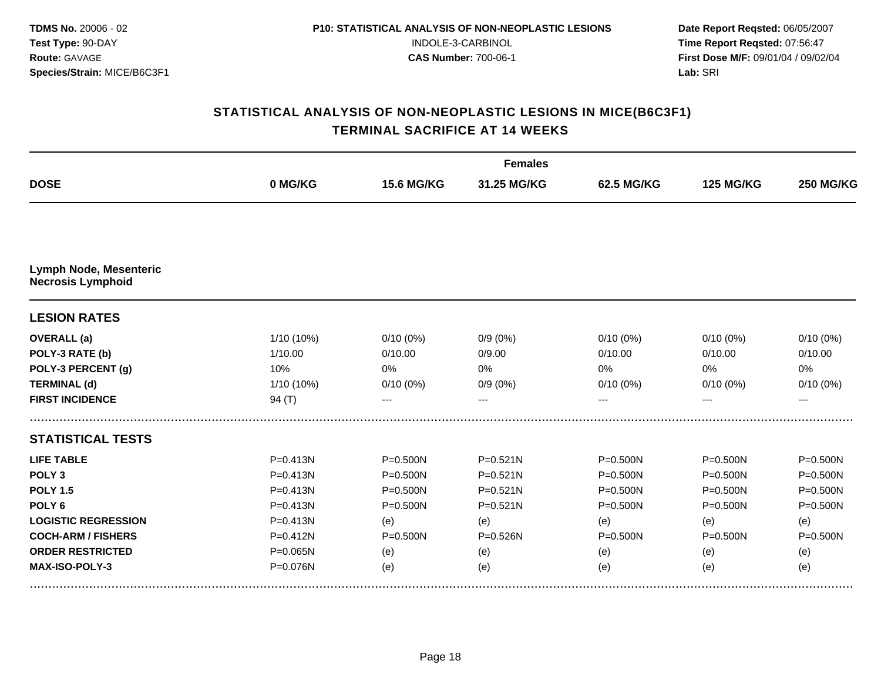|                                                           |              |                   | <b>Females</b> |                   |                  |                  |
|-----------------------------------------------------------|--------------|-------------------|----------------|-------------------|------------------|------------------|
| <b>DOSE</b>                                               | 0 MG/KG      | <b>15.6 MG/KG</b> | 31.25 MG/KG    | <b>62.5 MG/KG</b> | <b>125 MG/KG</b> | <b>250 MG/KG</b> |
|                                                           |              |                   |                |                   |                  |                  |
| <b>Lymph Node, Mesenteric</b><br><b>Necrosis Lymphoid</b> |              |                   |                |                   |                  |                  |
| <b>LESION RATES</b>                                       |              |                   |                |                   |                  |                  |
| <b>OVERALL</b> (a)                                        | 1/10 (10%)   | $0/10(0\%)$       | $0/9(0\%)$     | $0/10(0\%)$       | $0/10(0\%)$      | $0/10(0\%)$      |
| POLY-3 RATE (b)                                           | 1/10.00      | 0/10.00           | 0/9.00         | 0/10.00           | 0/10.00          | 0/10.00          |
| POLY-3 PERCENT (g)                                        | 10%          | 0%                | 0%             | 0%                | $0\%$            | 0%               |
| <b>TERMINAL (d)</b>                                       | 1/10 (10%)   | $0/10(0\%)$       | $0/9(0\%)$     | $0/10(0\%)$       | $0/10(0\%)$      | $0/10(0\%)$      |
| <b>FIRST INCIDENCE</b>                                    | 94 $(T)$     |                   |                |                   |                  | ---              |
| <b>STATISTICAL TESTS</b>                                  |              |                   |                |                   |                  |                  |
| <b>LIFE TABLE</b>                                         | $P = 0.413N$ | $P = 0.500N$      | $P = 0.521N$   | $P = 0.500N$      | $P = 0.500N$     | P=0.500N         |
| POLY <sub>3</sub>                                         | $P = 0.413N$ | $P = 0.500N$      | $P = 0.521N$   | $P = 0.500N$      | $P = 0.500N$     | $P = 0.500N$     |
| <b>POLY 1.5</b>                                           | $P = 0.413N$ | $P = 0.500N$      | $P = 0.521N$   | $P = 0.500N$      | $P = 0.500N$     | P=0.500N         |
| POLY <sub>6</sub>                                         | $P = 0.413N$ | $P = 0.500N$      | $P = 0.521N$   | $P = 0.500N$      | $P = 0.500N$     | $P = 0.500N$     |
| <b>LOGISTIC REGRESSION</b>                                | $P = 0.413N$ | (e)               | (e)            | (e)               | (e)              | (e)              |
| <b>COCH-ARM / FISHERS</b>                                 | $P = 0.412N$ | $P = 0.500N$      | $P = 0.526N$   | P=0.500N          | $P = 0.500N$     | $P = 0.500N$     |
| <b>ORDER RESTRICTED</b>                                   | $P = 0.065N$ | (e)               | (e)            | (e)               | (e)              | (e)              |
| MAX-ISO-POLY-3                                            | P=0.076N     | (e)               | (e)            | (e)               | (e)              | (e)              |
|                                                           |              |                   |                |                   |                  |                  |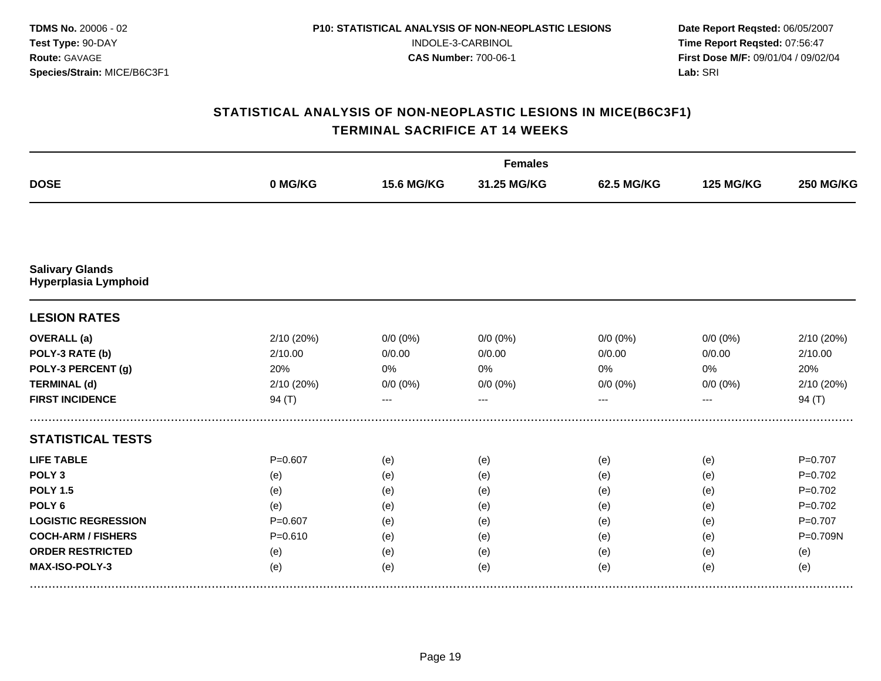|             |                   | <b>Females</b> |             |                  |                  |
|-------------|-------------------|----------------|-------------|------------------|------------------|
| 0 MG/KG     | <b>15.6 MG/KG</b> | 31.25 MG/KG    | 62.5 MG/KG  | <b>125 MG/KG</b> | <b>250 MG/KG</b> |
|             |                   |                |             |                  |                  |
|             |                   |                |             |                  |                  |
|             |                   |                |             |                  |                  |
| 2/10 (20%)  | $0/0 (0\%)$       | $0/0 (0\%)$    | $0/0 (0\%)$ | $0/0 (0\%)$      | 2/10 (20%)       |
| 2/10.00     | 0/0.00            | 0/0.00         | 0/0.00      | 0/0.00           | 2/10.00          |
| 20%         | 0%                | 0%             | 0%          | 0%               | 20%              |
| 2/10 (20%)  | $0/0 (0\%)$       | $0/0 (0\%)$    | $0/0 (0\%)$ | $0/0 (0\%)$      | 2/10 (20%)       |
| 94 (T)      | ---               | ---            | ---         | ---              | 94 $(T)$         |
|             |                   |                |             |                  |                  |
| $P = 0.607$ | (e)               | (e)            | (e)         | (e)              | $P=0.707$        |
| (e)         | (e)               | (e)            | (e)         | (e)              | $P=0.702$        |
| (e)         | (e)               | (e)            | (e)         | (e)              | $P=0.702$        |
| (e)         | (e)               | (e)            | (e)         | (e)              | $P=0.702$        |
| $P = 0.607$ | (e)               | (e)            | (e)         | (e)              | $P = 0.707$      |
| $P = 0.610$ | (e)               | (e)            | (e)         | (e)              | P=0.709N         |
| (e)         | (e)               | (e)            | (e)         | (e)              | (e)              |
| (e)         | (e)               | (e)            | (e)         | (e)              | (e)              |
|             |                   |                |             |                  |                  |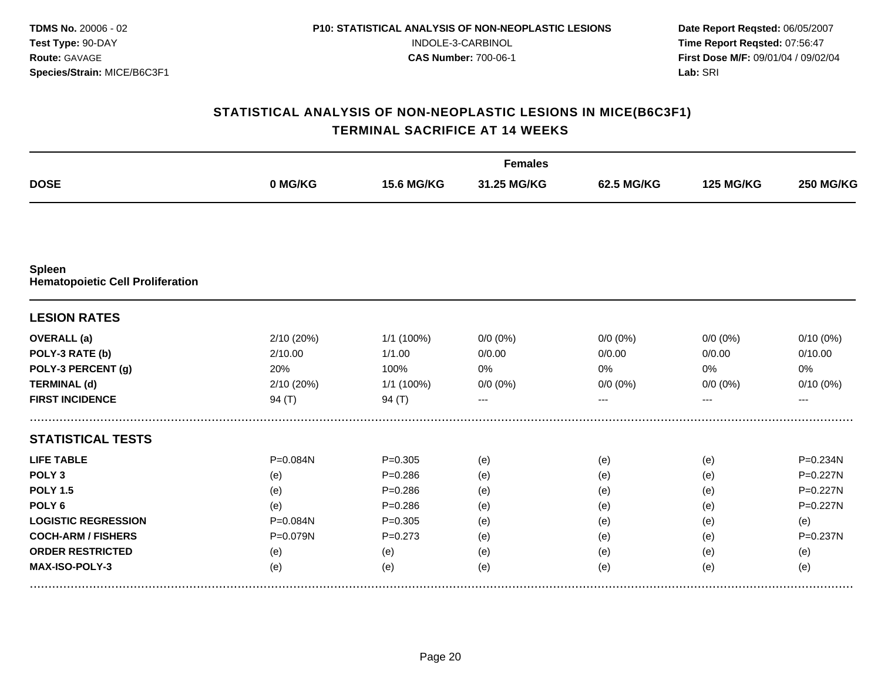|                                                          |            |                   | <b>Females</b> |                   |                  |                  |  |  |
|----------------------------------------------------------|------------|-------------------|----------------|-------------------|------------------|------------------|--|--|
| <b>DOSE</b>                                              | 0 MG/KG    | <b>15.6 MG/KG</b> | 31.25 MG/KG    | <b>62.5 MG/KG</b> | <b>125 MG/KG</b> | <b>250 MG/KG</b> |  |  |
|                                                          |            |                   |                |                   |                  |                  |  |  |
| <b>Spleen</b><br><b>Hematopoietic Cell Proliferation</b> |            |                   |                |                   |                  |                  |  |  |
| <b>LESION RATES</b>                                      |            |                   |                |                   |                  |                  |  |  |
| <b>OVERALL</b> (a)                                       | 2/10(20%)  | 1/1 (100%)        | $0/0 (0\%)$    | $0/0(0\%)$        | $0/0 (0\%)$      | $0/10(0\%)$      |  |  |
| POLY-3 RATE (b)                                          | 2/10.00    | 1/1.00            | 0/0.00         | 0/0.00            | 0/0.00           | 0/10.00          |  |  |
| POLY-3 PERCENT (g)                                       | 20%        | 100%              | 0%             | 0%                | 0%               | 0%               |  |  |
| <b>TERMINAL (d)</b>                                      | 2/10 (20%) | 1/1 (100%)        | $0/0 (0\%)$    | $0/0 (0\%)$       | $0/0 (0\%)$      | $0/10(0\%)$      |  |  |
| <b>FIRST INCIDENCE</b>                                   | 94 $(T)$   | 94 $(T)$          | ---            |                   | ---              | ---              |  |  |
| <b>STATISTICAL TESTS</b>                                 |            |                   |                |                   |                  |                  |  |  |
| <b>LIFE TABLE</b>                                        | P=0.084N   | $P = 0.305$       | (e)            | (e)               | (e)              | P=0.234N         |  |  |
| POLY <sub>3</sub>                                        | (e)        | $P = 0.286$       | (e)            | (e)               | (e)              | $P = 0.227N$     |  |  |
| <b>POLY 1.5</b>                                          | (e)        | $P = 0.286$       | (e)            | (e)               | (e)              | P=0.227N         |  |  |
| POLY <sub>6</sub>                                        | (e)        | $P = 0.286$       | (e)            | (e)               | (e)              | P=0.227N         |  |  |
| <b>LOGISTIC REGRESSION</b>                               | P=0.084N   | $P = 0.305$       | (e)            | (e)               | (e)              | (e)              |  |  |
| <b>COCH-ARM / FISHERS</b>                                | P=0.079N   | $P=0.273$         | (e)            | (e)               | (e)              | $P = 0.237N$     |  |  |
| <b>ORDER RESTRICTED</b>                                  | (e)        | (e)               | (e)            | (e)               | (e)              | (e)              |  |  |
| MAX-ISO-POLY-3                                           | (e)        | (e)               | (e)            | (e)               | (e)              | (e)              |  |  |